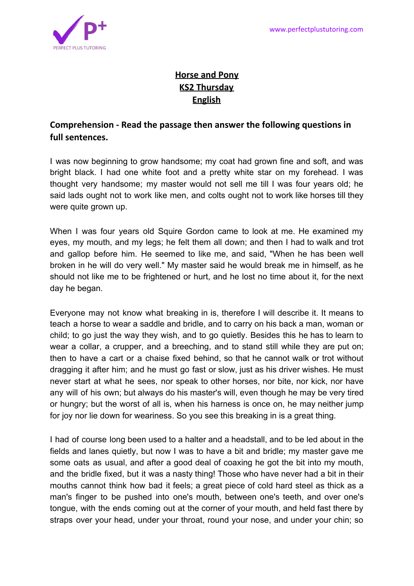

## **Horse and Pony KS2 Thursday English**

## **Comprehension - Read the passage then answer the following questions in full sentences.**

I was now beginning to grow handsome; my coat had grown fine and soft, and was bright black. I had one white foot and a pretty white star on my forehead. I was thought very handsome; my master would not sell me till I was four years old; he said lads ought not to work like men, and colts ought not to work like horses till they were quite grown up.

When I was four years old Squire Gordon came to look at me. He examined my eyes, my mouth, and my legs; he felt them all down; and then I had to walk and trot and gallop before him. He seemed to like me, and said, "When he has been well broken in he will do very well." My master said he would break me in himself, as he should not like me to be frightened or hurt, and he lost no time about it, for the next day he began.

Everyone may not know what breaking in is, therefore I will describe it. It means to teach a horse to wear a saddle and bridle, and to carry on his back a man, woman or child; to go just the way they wish, and to go quietly. Besides this he has to learn to wear a collar, a crupper, and a breeching, and to stand still while they are put on; then to have a cart or a chaise fixed behind, so that he cannot walk or trot without dragging it after him; and he must go fast or slow, just as his driver wishes. He must never start at what he sees, nor speak to other horses, nor bite, nor kick, nor have any will of his own; but always do his master's will, even though he may be very tired or hungry; but the worst of all is, when his harness is once on, he may neither jump for joy nor lie down for weariness. So you see this breaking in is a great thing.

I had of course long been used to a halter and a headstall, and to be led about in the fields and lanes quietly, but now I was to have a bit and bridle; my master gave me some oats as usual, and after a good deal of coaxing he got the bit into my mouth, and the bridle fixed, but it was a nasty thing! Those who have never had a bit in their mouths cannot think how bad it feels; a great piece of cold hard steel as thick as a man's finger to be pushed into one's mouth, between one's teeth, and over one's tongue, with the ends coming out at the corner of your mouth, and held fast there by straps over your head, under your throat, round your nose, and under your chin; so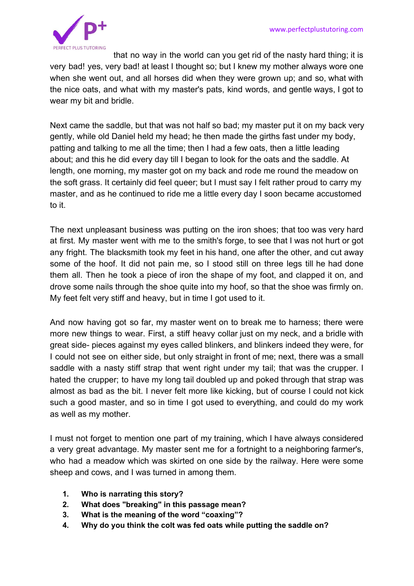

that no way in the world can you get rid of the nasty hard thing; it is very bad! yes, very bad! at least I thought so; but I knew my mother always wore one when she went out, and all horses did when they were grown up; and so, what with the nice oats, and what with my master's pats, kind words, and gentle ways, I got to wear my bit and bridle.

Next came the saddle, but that was not half so bad; my master put it on my back very gently, while old Daniel held my head; he then made the girths fast under my body, patting and talking to me all the time; then I had a few oats, then a little leading about; and this he did every day till I began to look for the oats and the saddle. At length, one morning, my master got on my back and rode me round the meadow on the soft grass. It certainly did feel queer; but I must say I felt rather proud to carry my master, and as he continued to ride me a little every day I soon became accustomed to it.

The next unpleasant business was putting on the iron shoes; that too was very hard at first. My master went with me to the smith's forge, to see that I was not hurt or got any fright. The blacksmith took my feet in his hand, one after the other, and cut away some of the hoof. It did not pain me, so I stood still on three legs till he had done them all. Then he took a piece of iron the shape of my foot, and clapped it on, and drove some nails through the shoe quite into my hoof, so that the shoe was firmly on. My feet felt very stiff and heavy, but in time I got used to it.

And now having got so far, my master went on to break me to harness; there were more new things to wear. First, a stiff heavy collar just on my neck, and a bridle with great side- pieces against my eyes called blinkers, and blinkers indeed they were, for I could not see on either side, but only straight in front of me; next, there was a small saddle with a nasty stiff strap that went right under my tail; that was the crupper. I hated the crupper; to have my long tail doubled up and poked through that strap was almost as bad as the bit. I never felt more like kicking, but of course I could not kick such a good master, and so in time I got used to everything, and could do my work as well as my mother.

I must not forget to mention one part of my training, which I have always considered a very great advantage. My master sent me for a fortnight to a neighboring farmer's, who had a meadow which was skirted on one side by the railway. Here were some sheep and cows, and I was turned in among them.

- **1. 1 Who is narrating this story?**
- **2. 2 What does "breaking" in this passage mean?**
- **3. 3 What is the meaning of the word "coaxing"?**
- **4. 4 Why do you think the colt was fed oats while putting the saddle on?**